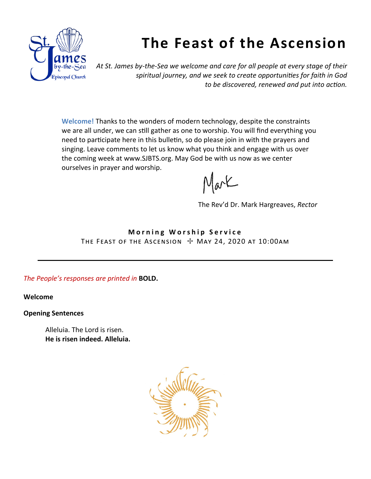

# **The Feast of the Ascension**

*At St. James by-the-Sea we welcome and care for all people at every stage of their spiritual journey, and we seek to create opportunities for faith in God to be discovered, renewed and put into action.*

**Welcome!** Thanks to the wonders of modern technology, despite the constraints we are all under, we can still gather as one to worship. You will find everything you need to participate here in this bulletin, so do please join in with the prayers and singing. Leave comments to let us know what you think and engage with us over the coming week at www.SJBTS.org. May God be with us now as we center ourselves in prayer and worship.

ark

The Rev'd Dr. Mark Hargreaves, *Rector* 

# **Morning Worship Service** The Feast of the Ascension ✢ May 24, 2020 at 10:00am

*The People's responses are printed in* **BOLD.**

**Welcome**

## **Opening Sentences**

Alleluia. The Lord is risen. **He is risen indeed. Alleluia.**

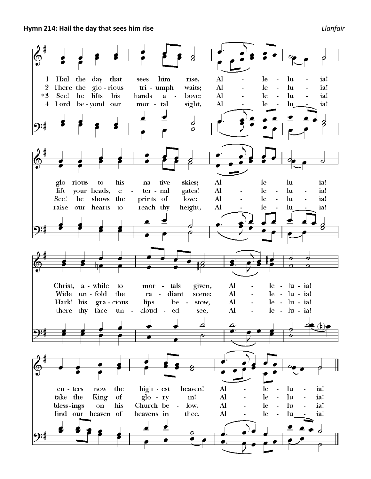**Hymn 214: Hail the day that sees him rise** *Llanfair*

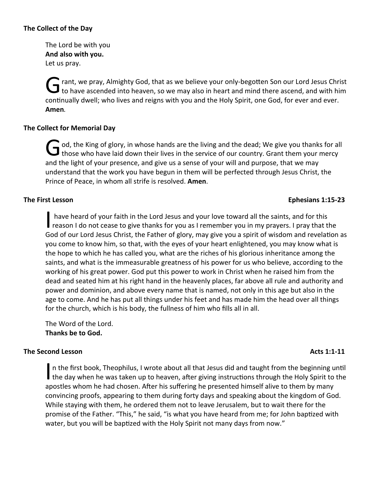# **The Collect of the Day**

The Lord be with you **And also with you.** Let us pray.

G rant, we pray, Almighty God, that as we believe your only-begotten Son our Lord Jesus Christ<br>to have ascended into heaven, so we may also in heart and mind there ascend, and with him T rant, we pray, Almighty God, that as we believe your only-begotten Son our Lord Jesus Christ continually dwell; who lives and reigns with you and the Holy Spirit, one God, for ever and ever. **Amen***.*

# **The Collect for Memorial Day**

G od, the King of glory, in whose hands are the living and the dead; We give you thanks for all those who have laid down their lives in the service of our country. Grant them your mercy od, the King of glory, in whose hands are the living and the dead; We give you thanks for all and the light of your presence, and give us a sense of your will and purpose, that we may understand that the work you have begun in them will be perfected through Jesus Christ, the Prince of Peace, in whom all strife is resolved. **Amen**.

## **The First Lesson Ephesians 1:15-23**

I have heard of your faith in the Lord Jesus and your love toward all the saints, and for this<br>reason I do not cease to give thanks for you as I remember you in my prayers. I pray that the have heard of your faith in the Lord Jesus and your love toward all the saints, and for this God of our Lord Jesus Christ, the Father of glory, may give you a spirit of wisdom and revelation as you come to know him, so that, with the eyes of your heart enlightened, you may know what is the hope to which he has called you, what are the riches of his glorious inheritance among the saints, and what is the immeasurable greatness of his power for us who believe, according to the working of his great power. God put this power to work in Christ when he raised him from the dead and seated him at his right hand in the heavenly places, far above all rule and authority and power and dominion, and above every name that is named, not only in this age but also in the age to come. And he has put all things under his feet and has made him the head over all things for the church, which is his body, the fullness of him who fills all in all.

The Word of the Lord. **Thanks be to God.** 

## **The Second Lesson Acts 1:1-11**

In the first book, Theophilus, I wrote about all that Jesus did and taught from the beginning until<br>the day when he was taken up to heaven, after giving instructions through the Holy Spirit to the n the first book, Theophilus, I wrote about all that Jesus did and taught from the beginning until apostles whom he had chosen. After his suffering he presented himself alive to them by many convincing proofs, appearing to them during forty days and speaking about the kingdom of God. While staying with them, he ordered them not to leave Jerusalem, but to wait there for the promise of the Father. "This," he said, "is what you have heard from me; for John baptized with water, but you will be baptized with the Holy Spirit not many days from now."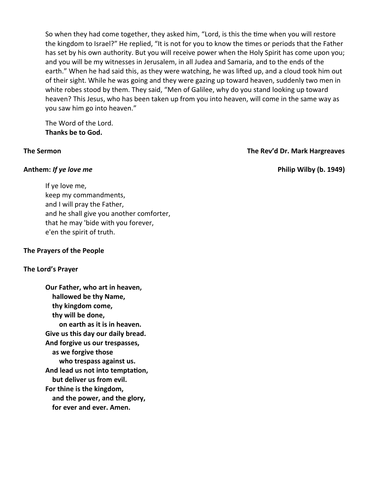So when they had come together, they asked him, "Lord, is this the time when you will restore the kingdom to Israel?" He replied, "It is not for you to know the times or periods that the Father has set by his own authority. But you will receive power when the Holy Spirit has come upon you; and you will be my witnesses in Jerusalem, in all Judea and Samaria, and to the ends of the earth." When he had said this, as they were watching, he was lifted up, and a cloud took him out of their sight. While he was going and they were gazing up toward heaven, suddenly two men in white robes stood by them. They said, "Men of Galilee, why do you stand looking up toward heaven? This Jesus, who has been taken up from you into heaven, will come in the same way as you saw him go into heaven."

The Word of the Lord. **Thanks be to God.** 

**The Sermon The Rev'd Dr. Mark Hargreaves**

**Anthem:** *If ye love me* **Philip Wilby (b. 1949)**

If ye love me, keep my commandments, and I will pray the Father, and he shall give you another comforter, that he may 'bide with you forever, e'en the spirit of truth.

## **The Prayers of the People**

## **The Lord's Prayer**

**Our Father, who art in heaven, hallowed be thy Name, thy kingdom come, thy will be done, on earth as it is in heaven. Give us this day our daily bread. And forgive us our trespasses, as we forgive those who trespass against us. And lead us not into temptation, but deliver us from evil. For thine is the kingdom, and the power, and the glory, for ever and ever. Amen.**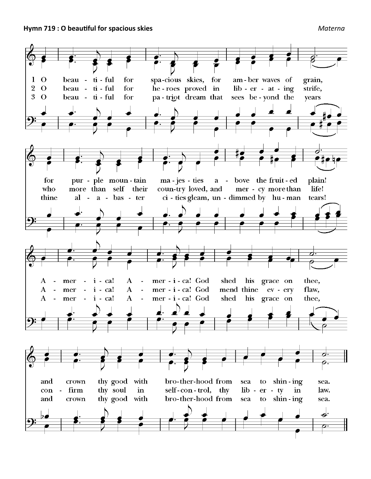**Hymn 719 : O beautiful for spacious skies** *Materna*

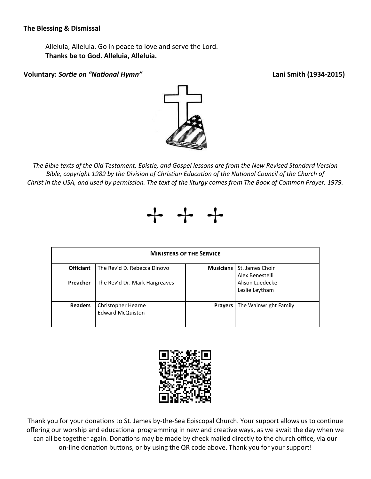Alleluia, Alleluia. Go in peace to love and serve the Lord. **Thanks be to God. Alleluia, Alleluia.**

**Voluntary:** *Sortie on "National Hymn"* **Lani Smith (1934-2015)**



*The Bible texts of the Old Testament, Epistle, and Gospel lessons are from the New Revised Standard Version Bible, copyright 1989 by the Division of Christian Education of the National Council of the Church of Christ in the USA, and used by permission. The text of the liturgy comes from The Book of Common Prayer, 1979.*

# $\cdot$   $\leftarrow$

| <b>MINISTERS OF THE SERVICE</b> |                                               |                  |                                    |  |
|---------------------------------|-----------------------------------------------|------------------|------------------------------------|--|
| <b>Officiant</b>                | The Rev'd D. Rebecca Dinovo                   | <b>Musicians</b> | St. James Choir<br>Alex Benestelli |  |
| Preacher                        | The Rev'd Dr. Mark Hargreaves                 |                  | Alison Luedecke<br>Leslie Leytham  |  |
| <b>Readers</b>                  | Christopher Hearne<br><b>Edward McQuiston</b> | <b>Prayers</b>   | The Wainwright Family              |  |



Thank you for your donations to St. James by-the-Sea Episcopal Church. Your support allows us to continue offering our worship and educational programming in new and creative ways, as we await the day when we can all be together again. Donations may be made by check mailed directly to the church office, via our on-line donation buttons, or by using the QR code above. Thank you for your support!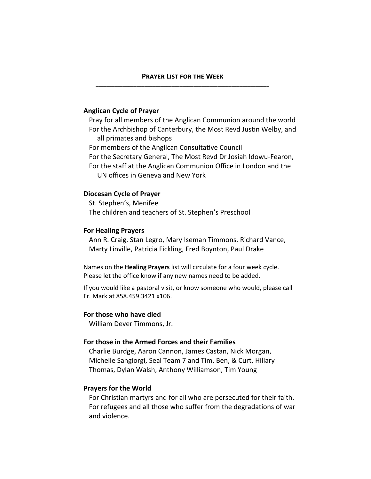### **Prayer List for the Week \_\_\_\_\_\_\_\_\_\_\_\_\_\_\_\_\_\_\_\_\_\_\_\_\_\_\_\_\_\_\_\_\_\_\_\_\_\_\_\_\_\_\_\_\_\_\_\_\_\_\_\_\_\_\_\_\_\_\_\_\_\_\_\_**

### **Anglican Cycle of Prayer**

Pray for all members of the Anglican Communion around the world For the Archbishop of Canterbury, the Most Revd Justin Welby, and all primates and bishops For members of the Anglican Consultative Council For the Secretary General, The Most Revd Dr Josiah Idowu-Fearon, For the staff at the Anglican Communion Office in London and the UN offices in Geneva and New York

### **Diocesan Cycle of Prayer**

St. Stephen's, Menifee The children and teachers of St. Stephen's Preschool

### **For Healing Prayers**

Ann R. Craig, Stan Legro, Mary Iseman Timmons, Richard Vance, Marty Linville, Patricia Fickling, Fred Boynton, Paul Drake

Names on the **Healing Prayers** list will circulate for a four week cycle. Please let the office know if any new names need to be added.

If you would like a pastoral visit, or know someone who would, please call Fr. Mark at 858.459.3421 x106.

### **For those who have died**

William Dever Timmons, Jr.

### **For those in the Armed Forces and their Families**

Charlie Burdge, Aaron Cannon, James Castan, Nick Morgan, Michelle Sangiorgi, Seal Team 7 and Tim, Ben, & Curt, Hillary Thomas, Dylan Walsh, Anthony Williamson, Tim Young

### **Prayers for the World**

For Christian martyrs and for all who are persecuted for their faith. For refugees and all those who suffer from the degradations of war and violence.